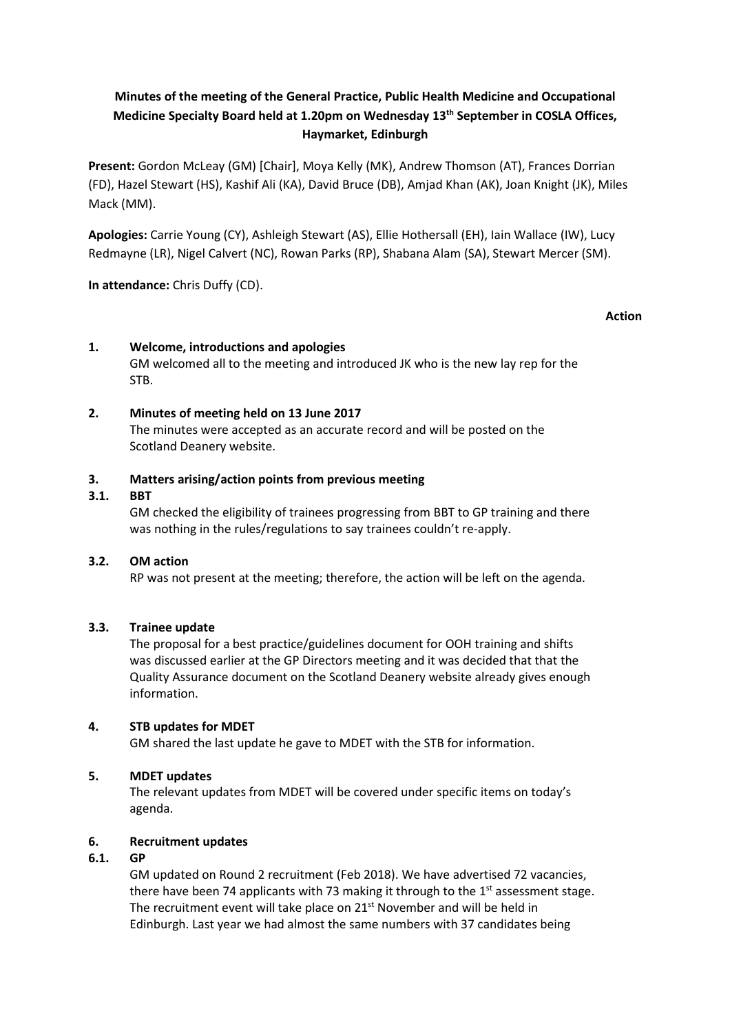# **Minutes of the meeting of the General Practice, Public Health Medicine and Occupational Medicine Specialty Board held at 1.20pm on Wednesday 13th September in COSLA Offices, Haymarket, Edinburgh**

**Present:** Gordon McLeay (GM) [Chair], Moya Kelly (MK), Andrew Thomson (AT), Frances Dorrian (FD), Hazel Stewart (HS), Kashif Ali (KA), David Bruce (DB), Amjad Khan (AK), Joan Knight (JK), Miles Mack (MM).

**Apologies:** Carrie Young (CY), Ashleigh Stewart (AS), Ellie Hothersall (EH), Iain Wallace (IW), Lucy Redmayne (LR), Nigel Calvert (NC), Rowan Parks (RP), Shabana Alam (SA), Stewart Mercer (SM).

**In attendance:** Chris Duffy (CD).

## **Action**

## **1. Welcome, introductions and apologies**

GM welcomed all to the meeting and introduced JK who is the new lay rep for the STB.

## **2. Minutes of meeting held on 13 June 2017**

The minutes were accepted as an accurate record and will be posted on the Scotland Deanery website.

### **3. Matters arising/action points from previous meeting**

### **3.1. BBT**

GM checked the eligibility of trainees progressing from BBT to GP training and there was nothing in the rules/regulations to say trainees couldn't re-apply.

### **3.2. OM action**

RP was not present at the meeting; therefore, the action will be left on the agenda.

### **3.3. Trainee update**

The proposal for a best practice/guidelines document for OOH training and shifts was discussed earlier at the GP Directors meeting and it was decided that that the Quality Assurance document on the Scotland Deanery website already gives enough information.

## **4. STB updates for MDET**

GM shared the last update he gave to MDET with the STB for information.

## **5. MDET updates**

The relevant updates from MDET will be covered under specific items on today's agenda.

### **6. Recruitment updates**

### **6.1. GP**

GM updated on Round 2 recruitment (Feb 2018). We have advertised 72 vacancies, there have been 74 applicants with 73 making it through to the  $1<sup>st</sup>$  assessment stage. The recruitment event will take place on 21<sup>st</sup> November and will be held in Edinburgh. Last year we had almost the same numbers with 37 candidates being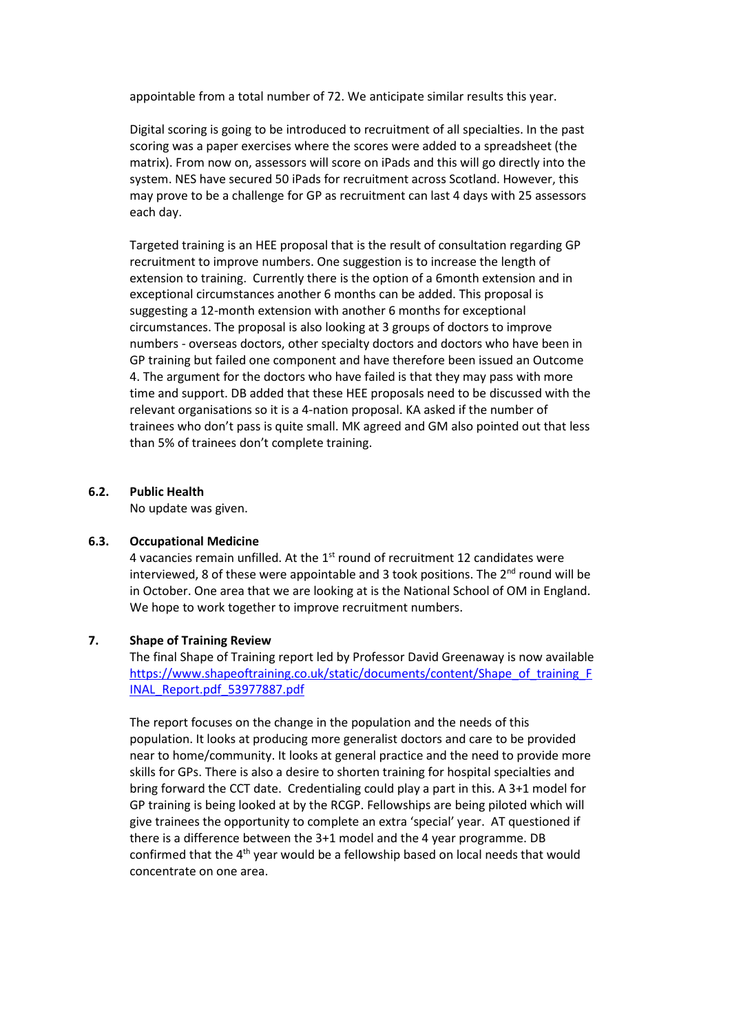appointable from a total number of 72. We anticipate similar results this year.

Digital scoring is going to be introduced to recruitment of all specialties. In the past scoring was a paper exercises where the scores were added to a spreadsheet (the matrix). From now on, assessors will score on iPads and this will go directly into the system. NES have secured 50 iPads for recruitment across Scotland. However, this may prove to be a challenge for GP as recruitment can last 4 days with 25 assessors each day.

Targeted training is an HEE proposal that is the result of consultation regarding GP recruitment to improve numbers. One suggestion is to increase the length of extension to training. Currently there is the option of a 6month extension and in exceptional circumstances another 6 months can be added. This proposal is suggesting a 12-month extension with another 6 months for exceptional circumstances. The proposal is also looking at 3 groups of doctors to improve numbers - overseas doctors, other specialty doctors and doctors who have been in GP training but failed one component and have therefore been issued an Outcome 4. The argument for the doctors who have failed is that they may pass with more time and support. DB added that these HEE proposals need to be discussed with the relevant organisations so it is a 4-nation proposal. KA asked if the number of trainees who don't pass is quite small. MK agreed and GM also pointed out that less than 5% of trainees don't complete training.

#### **6.2. Public Health**

No update was given.

#### **6.3. Occupational Medicine**

4 vacancies remain unfilled. At the  $1<sup>st</sup>$  round of recruitment 12 candidates were interviewed. 8 of these were appointable and 3 took positions. The  $2<sup>nd</sup>$  round will be in October. One area that we are looking at is the National School of OM in England. We hope to work together to improve recruitment numbers.

### **7. Shape of Training Review**

The final Shape of Training report led by Professor David Greenaway is now available https://www.shapeoftraining.co.uk/static/documents/content/Shape\_of\_training\_F INAL\_Report.pdf\_53977887.pdf

The report focuses on the change in the population and the needs of this population. It looks at producing more generalist doctors and care to be provided near to home/community. It looks at general practice and the need to provide more skills for GPs. There is also a desire to shorten training for hospital specialties and bring forward the CCT date. Credentialing could play a part in this. A 3+1 model for GP training is being looked at by the RCGP. Fellowships are being piloted which will give trainees the opportunity to complete an extra 'special' year. AT questioned if there is a difference between the 3+1 model and the 4 year programme. DB confirmed that the 4<sup>th</sup> year would be a fellowship based on local needs that would concentrate on one area.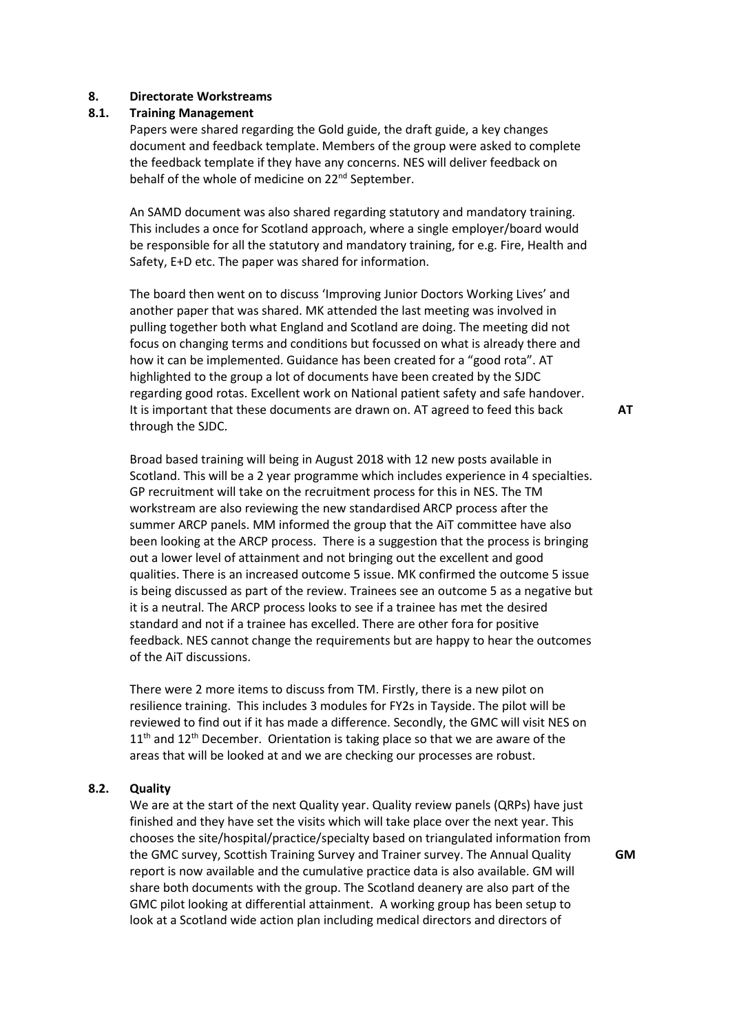#### **8. Directorate Workstreams**

#### **8.1. Training Management**

Papers were shared regarding the Gold guide, the draft guide, a key changes document and feedback template. Members of the group were asked to complete the feedback template if they have any concerns. NES will deliver feedback on behalf of the whole of medicine on 22<sup>nd</sup> September.

An SAMD document was also shared regarding statutory and mandatory training. This includes a once for Scotland approach, where a single employer/board would be responsible for all the statutory and mandatory training, for e.g. Fire, Health and Safety, E+D etc. The paper was shared for information.

The board then went on to discuss 'Improving Junior Doctors Working Lives' and another paper that was shared. MK attended the last meeting was involved in pulling together both what England and Scotland are doing. The meeting did not focus on changing terms and conditions but focussed on what is already there and how it can be implemented. Guidance has been created for a "good rota". AT highlighted to the group a lot of documents have been created by the SJDC regarding good rotas. Excellent work on National patient safety and safe handover. It is important that these documents are drawn on. AT agreed to feed this back through the SJDC.

Broad based training will being in August 2018 with 12 new posts available in Scotland. This will be a 2 year programme which includes experience in 4 specialties. GP recruitment will take on the recruitment process for this in NES. The TM workstream are also reviewing the new standardised ARCP process after the summer ARCP panels. MM informed the group that the AiT committee have also been looking at the ARCP process. There is a suggestion that the process is bringing out a lower level of attainment and not bringing out the excellent and good qualities. There is an increased outcome 5 issue. MK confirmed the outcome 5 issue is being discussed as part of the review. Trainees see an outcome 5 as a negative but it is a neutral. The ARCP process looks to see if a trainee has met the desired standard and not if a trainee has excelled. There are other fora for positive feedback. NES cannot change the requirements but are happy to hear the outcomes of the AiT discussions.

There were 2 more items to discuss from TM. Firstly, there is a new pilot on resilience training. This includes 3 modules for FY2s in Tayside. The pilot will be reviewed to find out if it has made a difference. Secondly, the GMC will visit NES on  $11<sup>th</sup>$  and  $12<sup>th</sup>$  December. Orientation is taking place so that we are aware of the areas that will be looked at and we are checking our processes are robust.

#### **8.2. Quality**

We are at the start of the next Quality year. Quality review panels (QRPs) have just finished and they have set the visits which will take place over the next year. This chooses the site/hospital/practice/specialty based on triangulated information from the GMC survey, Scottish Training Survey and Trainer survey. The Annual Quality report is now available and the cumulative practice data is also available. GM will share both documents with the group. The Scotland deanery are also part of the GMC pilot looking at differential attainment. A working group has been setup to look at a Scotland wide action plan including medical directors and directors of

**AT**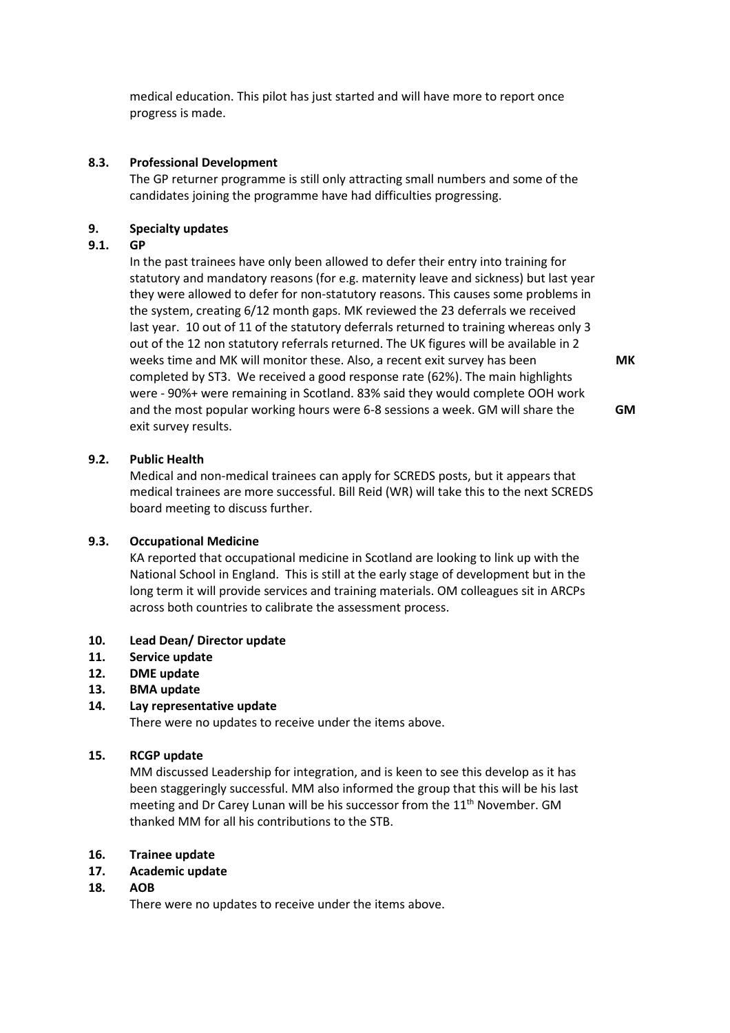medical education. This pilot has just started and will have more to report once progress is made.

### **8.3. Professional Development**

The GP returner programme is still only attracting small numbers and some of the candidates joining the programme have had difficulties progressing.

### **9. Specialty updates**

### **9.1. GP**

In the past trainees have only been allowed to defer their entry into training for statutory and mandatory reasons (for e.g. maternity leave and sickness) but last year they were allowed to defer for non-statutory reasons. This causes some problems in the system, creating 6/12 month gaps. MK reviewed the 23 deferrals we received last year. 10 out of 11 of the statutory deferrals returned to training whereas only 3 out of the 12 non statutory referrals returned. The UK figures will be available in 2 weeks time and MK will monitor these. Also, a recent exit survey has been completed by ST3. We received a good response rate (62%). The main highlights were - 90%+ were remaining in Scotland. 83% said they would complete OOH work and the most popular working hours were 6-8 sessions a week. GM will share the exit survey results.

**MK** 

**GM** 

### **9.2. Public Health**

Medical and non-medical trainees can apply for SCREDS posts, but it appears that medical trainees are more successful. Bill Reid (WR) will take this to the next SCREDS board meeting to discuss further.

### **9.3. Occupational Medicine**

KA reported that occupational medicine in Scotland are looking to link up with the National School in England. This is still at the early stage of development but in the long term it will provide services and training materials. OM colleagues sit in ARCPs across both countries to calibrate the assessment process.

## **10. Lead Dean/ Director update**

## **11. Service update**

## **12. DME update**

**13. BMA update**

## **14. Lay representative update**

There were no updates to receive under the items above.

## **15. RCGP update**

MM discussed Leadership for integration, and is keen to see this develop as it has been staggeringly successful. MM also informed the group that this will be his last meeting and Dr Carey Lunan will be his successor from the 11<sup>th</sup> November. GM thanked MM for all his contributions to the STB.

## **16. Trainee update**

## **17. Academic update**

## **18. AOB**

There were no updates to receive under the items above.